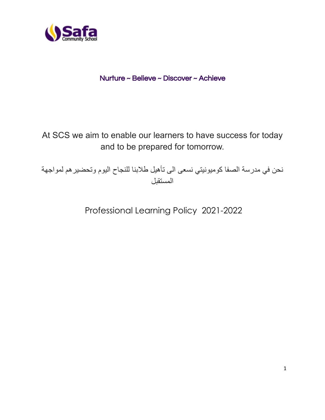

## Nurture ~ Believe ~ Discover ~ Achieve

At SCS we aim to enable our learners to have success for today and to be prepared for tomorrow.

نحن في مدرسة الصفا كوميونيتي نسعى الى تأهيل طالبنا للنجاح اليوم وتحضيرهم لمواجهة المستقبل

Professional Learning Policy 2021-2022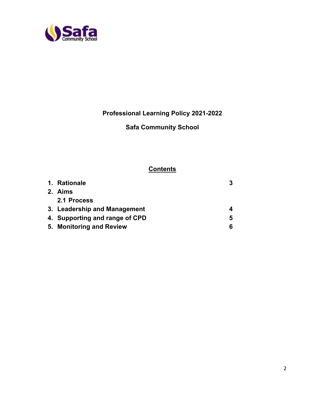

**Professional Learning Policy 2021-2022**

# **Safa Community School**

## **Contents**

| 1. Rationale                   | 3 |
|--------------------------------|---|
| 2. Aims                        |   |
| 2.1 Process                    |   |
| 3. Leadership and Management   |   |
| 4. Supporting and range of CPD | 5 |
| 5. Monitoring and Review       | 6 |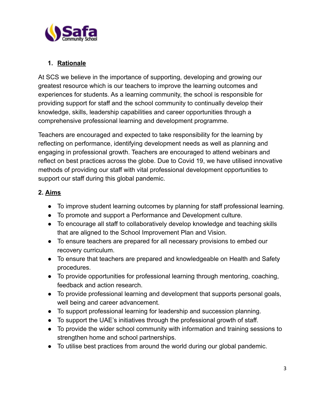

### **1. Rationale**

At SCS we believe in the importance of supporting, developing and growing our greatest resource which is our teachers to improve the learning outcomes and experiences for students. As a learning community, the school is responsible for providing support for staff and the school community to continually develop their knowledge, skills, leadership capabilities and career opportunities through a comprehensive professional learning and development programme.

Teachers are encouraged and expected to take responsibility for the learning by reflecting on performance, identifying development needs as well as planning and engaging in professional growth. Teachers are encouraged to attend webinars and reflect on best practices across the globe. Due to Covid 19, we have utilised innovative methods of providing our staff with vital professional development opportunities to support our staff during this global pandemic.

### **2. Aims**

- To improve student learning outcomes by planning for staff professional learning.
- To promote and support a Performance and Development culture.
- To encourage all staff to collaboratively develop knowledge and teaching skills that are aligned to the School Improvement Plan and Vision.
- To ensure teachers are prepared for all necessary provisions to embed our recovery curriculum.
- To ensure that teachers are prepared and knowledgeable on Health and Safety procedures.
- To provide opportunities for professional learning through mentoring, coaching, feedback and action research.
- To provide professional learning and development that supports personal goals, well being and career advancement.
- To support professional learning for leadership and succession planning.
- To support the UAE's initiatives through the professional growth of staff.
- To provide the wider school community with information and training sessions to strengthen home and school partnerships.
- To utilise best practices from around the world during our global pandemic.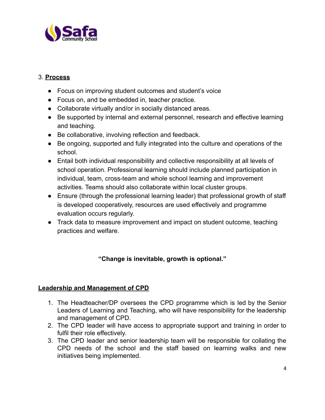

### 3. **Process**

- Focus on improving student outcomes and student's voice
- Focus on, and be embedded in, teacher practice.
- Collaborate virtually and/or in socially distanced areas.
- Be supported by internal and external personnel, research and effective learning and teaching.
- Be collaborative, involving reflection and feedback.
- Be ongoing, supported and fully integrated into the culture and operations of the school.
- Entail both individual responsibility and collective responsibility at all levels of school operation. Professional learning should include planned participation in individual, team, cross-team and whole school learning and improvement activities. Teams should also collaborate within local cluster groups.
- Ensure (through the professional learning leader) that professional growth of staff is developed cooperatively, resources are used effectively and programme evaluation occurs regularly.
- Track data to measure improvement and impact on student outcome, teaching practices and welfare.

#### **"Change is inevitable, growth is optional."**

#### **Leadership and Management of CPD**

- 1. The Headteacher/DP oversees the CPD programme which is led by the Senior Leaders of Learning and Teaching, who will have responsibility for the leadership and management of CPD.
- 2. The CPD leader will have access to appropriate support and training in order to fulfil their role effectively.
- 3. The CPD leader and senior leadership team will be responsible for collating the CPD needs of the school and the staff based on learning walks and new initiatives being implemented.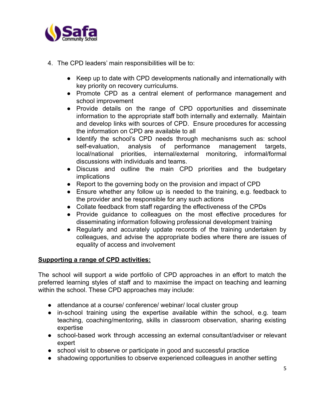

- 4. The CPD leaders' main responsibilities will be to:
	- Keep up to date with CPD developments nationally and internationally with key priority on recovery curriculums.
	- Promote CPD as a central element of performance management and school improvement
	- Provide details on the range of CPD opportunities and disseminate information to the appropriate staff both internally and externally. Maintain and develop links with sources of CPD. Ensure procedures for accessing the information on CPD are available to all
	- Identify the school's CPD needs through mechanisms such as: school self-evaluation, analysis of performance management targets, local/national priorities, internal/external monitoring, informal/formal discussions with individuals and teams.
	- Discuss and outline the main CPD priorities and the budgetary implications
	- Report to the governing body on the provision and impact of CPD
	- Ensure whether any follow up is needed to the training, e.g. feedback to the provider and be responsible for any such actions
	- Collate feedback from staff regarding the effectiveness of the CPDs
	- Provide guidance to colleagues on the most effective procedures for disseminating information following professional development training
	- Regularly and accurately update records of the training undertaken by colleagues, and advise the appropriate bodies where there are issues of equality of access and involvement

#### **Supporting a range of CPD activities:**

The school will support a wide portfolio of CPD approaches in an effort to match the preferred learning styles of staff and to maximise the impact on teaching and learning within the school. These CPD approaches may include:

- attendance at a course/ conference/ webinar/ local cluster group
- in-school training using the expertise available within the school, e.g. team teaching, coaching/mentoring, skills in classroom observation, sharing existing expertise
- school-based work through accessing an external consultant/adviser or relevant expert
- school visit to observe or participate in good and successful practice
- shadowing opportunities to observe experienced colleagues in another setting